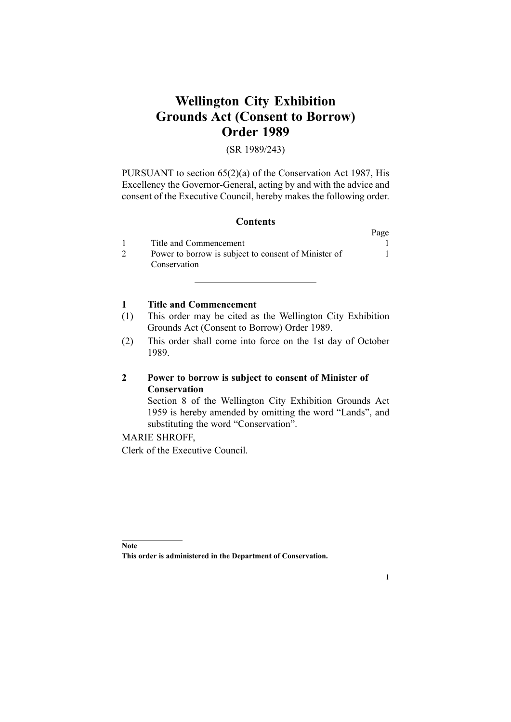# **Wellington City Exhibition Grounds Act (Consent to Borrow) Order 1989**

#### (SR 1989/243)

PURSUANT to section [65\(2\)\(a\)](http://www.legislation.govt.nz/pdfLink.aspx?id=DLM106995) of the [Conservation](http://www.legislation.govt.nz/pdfLink.aspx?id=DLM103609) Act 1987, His Excellency the Governor-General, acting by and with the advice and consent of the Executive Council, hereby makes the following order.

## **Contents**

|                                                      | Page |
|------------------------------------------------------|------|
| Title and Commencement                               |      |
| Power to borrow is subject to consent of Minister of |      |
| Conservation                                         |      |

## **1 Title and Commencement**

- (1) This order may be cited as the Wellington City Exhibition Grounds Act (Consent to Borrow) Order 1989.
- (2) This order shall come into force on the 1st day of October 1989.

## **2 Power to borrow is subject to consent of Minister of Conservation**

Section [8](http://www.legislation.govt.nz/pdfLink.aspx?id=DLM58065) of the [Wellington](http://www.legislation.govt.nz/pdfLink.aspx?id=DLM58047) City Exhibition Grounds Act [1959](http://www.legislation.govt.nz/pdfLink.aspx?id=DLM58047) is hereby amended by omitting the word "Lands", and substituting the word "Conservation".

### MARIE SHROFF,

Clerk of the Executive Council.

1

**Note**

**This order is administered in the Department of Conservation.**